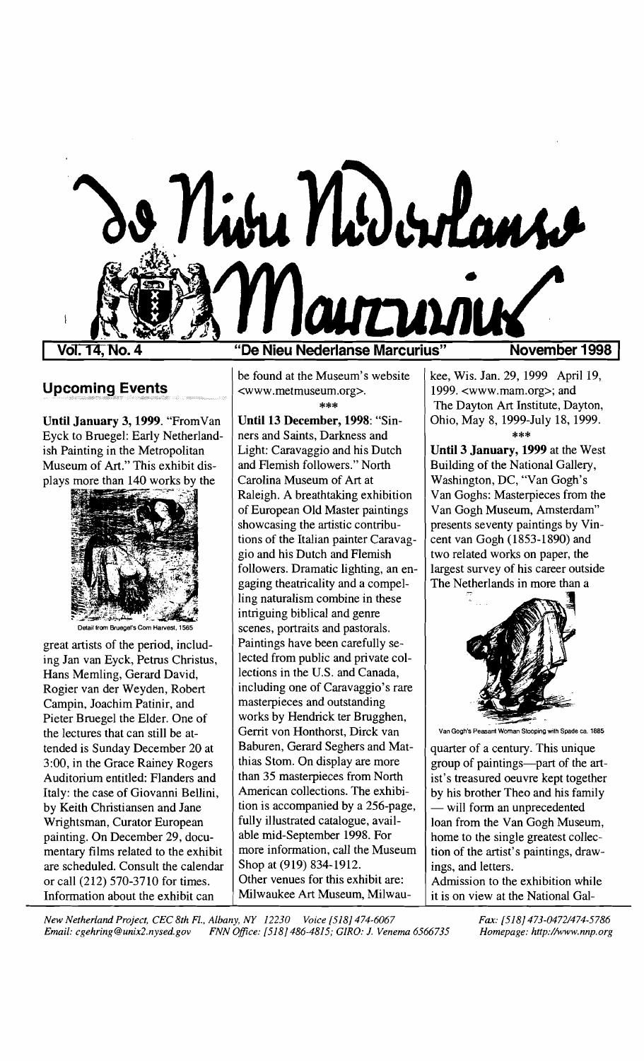

Vol. 14.

## **Upcoming Events**

**Until January 3, 1999.** "FromVan Eyck to Bruegel: Early Netherlandish Painting in the Metropolitan Museum of Art." This exhibit displays more than 140 works by the



Detail from Bruegel's Com Harvest, 1565

great artists of the period, including Jan van Eyck, Petrus Christus, Hans Memling, Gerard David, Rogier van der Weyden, Robert Campin, Joachim Patinir, and Pieter Bruegel the Elder. One of the lectures that can still be attended is Sunday December 20 at 3:00, in the Grace Rainey Rogers Auditorium entitled: Flanders and Italy: the case of Giovanni Bellini, by Keith Christiansen and Jane Wrightsman, Curator European painting. On December 29, documentary films related to the exhibit are scheduled. Consult the calendar or call (212) 570-3710 for times. Information about the exhibit can

**"De Nieu Neclerlanse Marcurius"** 

be found at the Museum's website <www.metmuseum.org>.

\*\*\* Until 13 **December, 1998:** "Sinners and Saints, Darkness and Light: Caravaggio and his Dutch and Flemish followers." North Carolina Museum of Art at Raleigh. A breathtaking exhibition of European Old Master paintings showcasing the artistic contributions of the Italian painter Caravaggio and his Dutch and Flemish followers. Dramatic lighting, an engaging theatricality and a compelling naturalism combine in these intriguing biblical and genre scenes, portraits and pastorals. Paintings have been carefully selected from public and private collections in the U.S. and Canada, including one of Caravaggio's rare masterpieces and outstanding works by Hendrick ter Brugghen, Gerrit von Honthorst, Dirck van Baburen, Gerard Seghers and Matthias Stom. On display are more than 35 masterpieces from North American collections. The exhibition is accompanied by a 256-page, fully illustrated catalogue, available mid-September 1998. For more information, call the Museum Shop at (919) 834-1912. Other venues for this exhibit are: Milwaukee Art Museum, MilwauNovember 1998

kee, Wis. Jan. 29, 1999 April 19, 1999. <www.mam.org>; and The Dayton Art Institute, Dayton, Ohio, May 8, 1999-July 18, 1999.

\*\*\* Until 3 **January, 1999** at the West Building of the National Gallery, Washington, DC, "Van Gogh's Van Goghs: Masterpieces from the Van Gogh Museum, Amsterdam" presents seventy paintings by Vincent van Gogh (1853-1890) and two related works on paper, the largest survey of his career outside The Netherlands in more than a



Van Gogh's Peasant Woman Stooping with Spade ca. 1885

quarter of a century. This unique group of paintings-part of the artist's treasured oeuvre kept together by his brother Theo and his family - will form an unprecedented loan from the Van Gogh Museum, home to the single greatest collection of the artist's paintings, drawings, and letters.

Admission to the exhibition while it is on view at the National Gal-

*New Netherland Project, CEC 8th Fl., Albany, NY 12230 Voice [518J 474-6067 Fax: [518J 473-0472/474-5786 Email: cgehring@unix2.nysed.gov FNN Office: [518] 486-4815; GIRO: J. Venema 6566735* 

*Homepage: http://www.nnp.org*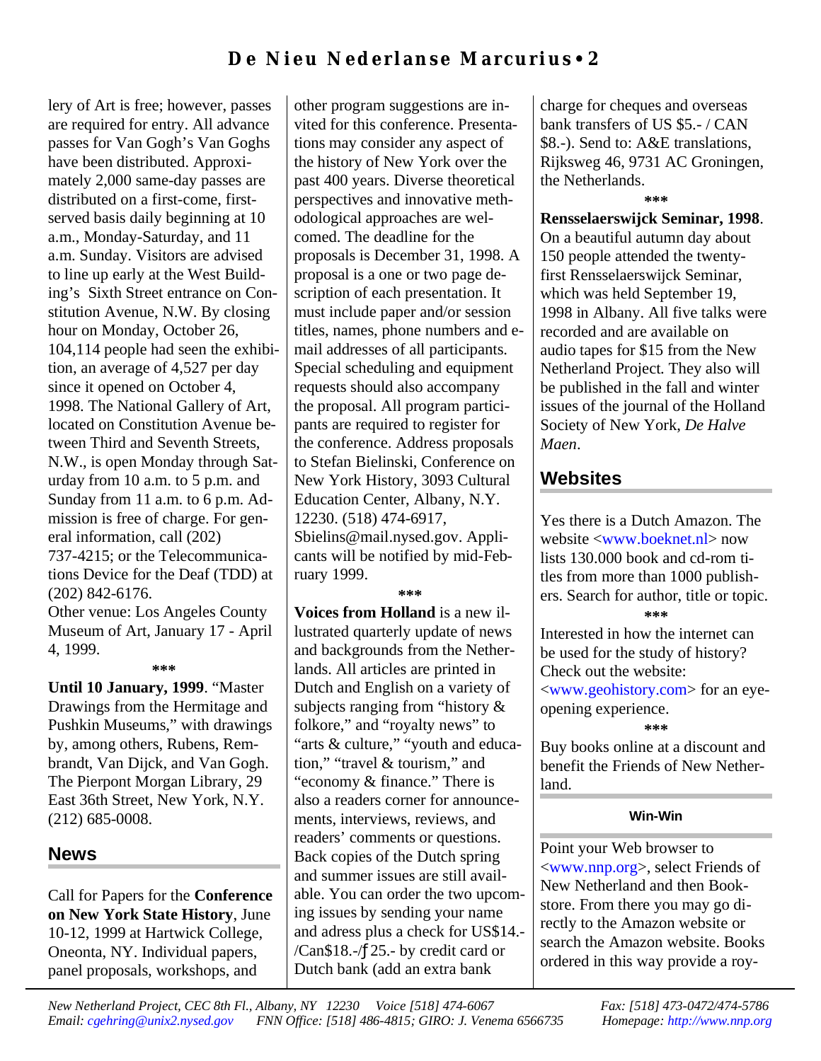## **De Nieu N ed e rl an se Mar c urius** • **2**

lery of Art is free; however, passes are required for entry. All advance passes for Van Gogh's Van Goghs have been distributed. Approximately 2,000 same-day passes are distributed on a first-come, firstserved basis daily beginning at 10 a.m., Monday-Saturday, and 11 a.m. Sunday. Visitors are advised to line up early at the West Building's Sixth Street entrance on Constitution Avenue, N.W. By closing hour on Monday, October 26, 104,114 people had seen the exhibition, an average of 4,527 per day since it opened on October 4, 1998. The National Gallery of Art, located on Constitution Avenue between Third and Seventh Streets, N.W., is open Monday through Saturday from 10 a.m. to 5 p.m. and Sunday from 11 a.m. to 6 p.m. Admission is free of charge. For general information, call (202) 737-4215; or the Telecommunications Device for the Deaf (TDD) at (202) 842-6176.

Other venue: Los Angeles County Museum of Art, January 17 - April 4, 1999.

#### **\*\*\***

**Until 10 January, 1999**. "Master Drawings from the Hermitage and Pushkin Museums," with drawings by, among others, Rubens, Rembrandt, Van Dijck, and Van Gogh. The Pierpont Morgan Library, 29 East 36th Street, New York, N.Y. (212) 685-0008.

### **News**

Call for Papers for the **Conference on New York State History**, June 10-12, 1999 at Hartwick College, Oneonta, NY. Individual papers, panel proposals, workshops, and

other program suggestions are invited for this conference. Presentations may consider any aspect of the history of New York over the past 400 years. Diverse theoretical perspectives and innovative methodological approaches are welcomed. The deadline for the proposals is December 31, 1998. A proposal is a one or two page description of each presentation. It must include paper and/or session titles, names, phone numbers and email addresses of all participants. Special scheduling and equipment requests should also accompany the proposal. All program participants are required to register for the conference. Address proposals to Stefan Bielinski, Conference on New York History, 3093 Cultural Education Center, Albany, N.Y. 12230. (518) 474-6917, Sbielins@mail.nysed.gov. Applicants will be notified by mid-February 1999.

#### **\*\*\***

**Voices from Holland** is a new illustrated quarterly update of news and backgrounds from the Netherlands. All articles are printed in Dutch and English on a variety of subjects ranging from "history & folkore," and "royalty news" to "arts & culture," "youth and education," "travel & tourism," and "economy & finance." There is also a readers corner for announcements, interviews, reviews, and readers' comments or questions. Back copies of the Dutch spring and summer issues are still available. You can order the two upcoming issues by sending your name and adress plus a check for US\$14.- /Can\$18.-/ƒ25.- by credit card or Dutch bank (add an extra bank

charge for cheques and overseas bank transfers of US \$5.- / CAN \$8.-). Send to: A&E translations, Rijksweg 46, 9731 AC Groningen, the Netherlands.

**\*\*\***

**Rensselaerswijck Seminar, 1998**. On a beautiful autumn day about 150 people attended the twentyfirst Rensselaerswijck Seminar, which was held September 19, 1998 in Albany. All five talks were recorded and are available on audio tapes for \$15 from the New Netherland Project. They also will be published in the fall and winter issues of the journal of the Holland Society of New York, *De Halve Maen*.

### **Websites**

Yes there is a Dutch Amazon. The website [<www.boeknet.nl>](http://www.boeknet.nl) now lists 130.000 book and cd-rom titles from more than 1000 publishers. Search for author, title or topic. **\*\*\***

Interested in how the internet can be used for the study of history? Check out the website: [<www.geohistory.com>](http://www.geohistory.com) for an eyeopening experience. **\*\*\***

Buy books online at a discount and benefit the Friends of New Netherland.

#### **Win-Win**

Point your Web browser to [<www.nnp.org>](http://www.nnp.org), select Friends of New Netherland and then Bookstore. From there you may go directly to the Amazon website or search the Amazon website. Books ordered in this way provide a roy-

*New Netherland Project, CEC 8th Fl., Albany, NY 12230 Voice [518] 474-6067 Fax: [518] 473-0472/474-5786 Email: [cgehring@unix2.nysed.gov](mailto:cgehring@unix2.nysed.gov) FNN Office: [518] 486-4815; GIRO: J. Venema 6566735 Homepage:<http://www.nnp.org>*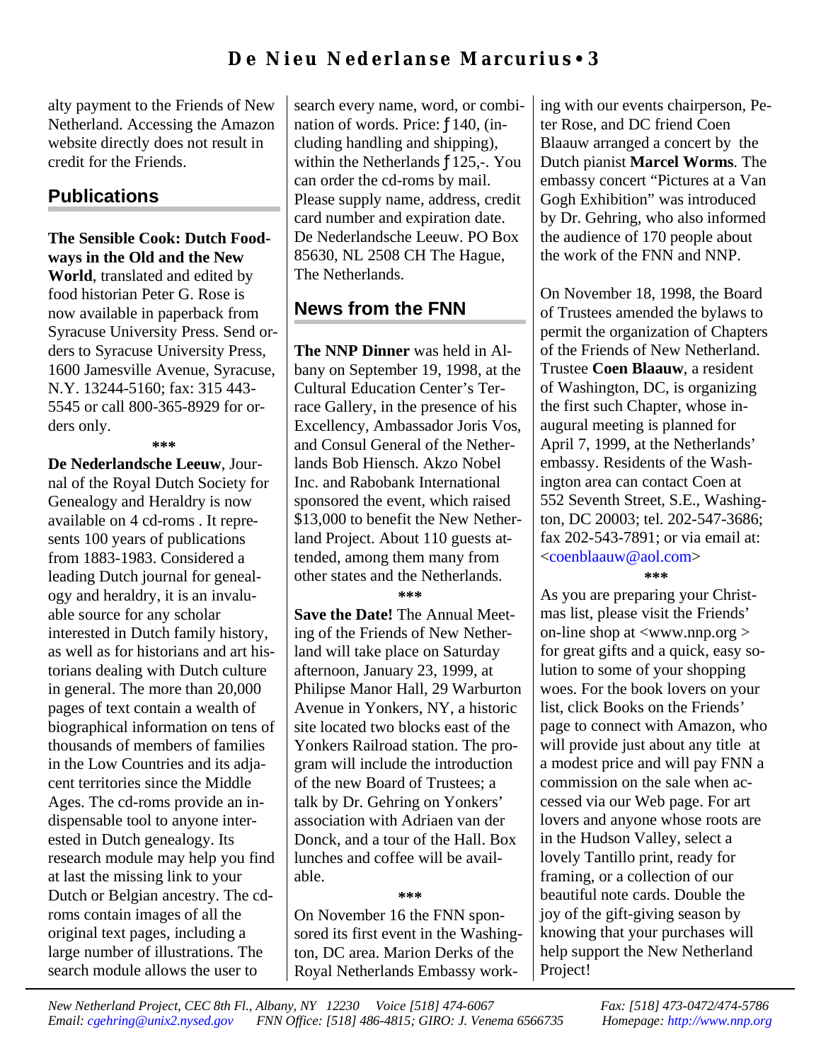alty payment to the Friends of New Netherland. Accessing the Amazon website directly does not result in credit for the Friends.

# **Publications**

#### **The Sensible Cook: Dutch Foodways in the Old and the New**

**World**, translated and edited by food historian Peter G. Rose is now available in paperback from Syracuse University Press. Send orders to Syracuse University Press, 1600 Jamesville Avenue, Syracuse, N.Y. 13244-5160; fax: 315 443- 5545 or call 800-365-8929 for orders only.

**\*\*\***

**De Nederlandsche Leeuw**, Journal of the Royal Dutch Society for Genealogy and Heraldry is now available on 4 cd-roms . It represents 100 years of publications from 1883-1983. Considered a leading Dutch journal for genealogy and heraldry, it is an invaluable source for any scholar interested in Dutch family history, as well as for historians and art historians dealing with Dutch culture in general. The more than 20,000 pages of text contain a wealth of biographical information on tens of thousands of members of families in the Low Countries and its adjacent territories since the Middle Ages. The cd-roms provide an indispensable tool to anyone interested in Dutch genealogy. Its research module may help you find at last the missing link to your Dutch or Belgian ancestry. The cdroms contain images of all the original text pages, including a large number of illustrations. The search module allows the user to

search every name, word, or combination of words. Price: ƒ140, (including handling and shipping), within the Netherlands  $f125$ ,-. You can order the cd-roms by mail. Please supply name, address, credit card number and expiration date. De Nederlandsche Leeuw. PO Box 85630, NL 2508 CH The Hague, The Netherlands.

# **News from the FNN**

**The NNP Dinner** was held in Albany on September 19, 1998, at the Cultural Education Center's Terrace Gallery, in the presence of his Excellency, Ambassador Joris Vos, and Consul General of the Netherlands Bob Hiensch. Akzo Nobel Inc. and Rabobank International sponsored the event, which raised \$13,000 to benefit the New Netherland Project. About 110 guests attended, among them many from other states and the Netherlands. **\*\*\***

**Save the Date!** The Annual Meeting of the Friends of New Netherland will take place on Saturday afternoon, January 23, 1999, at Philipse Manor Hall, 29 Warburton Avenue in Yonkers, NY, a historic site located two blocks east of the Yonkers Railroad station. The program will include the introduction of the new Board of Trustees; a talk by Dr. Gehring on Yonkers' association with Adriaen van der Donck, and a tour of the Hall. Box lunches and coffee will be available.

### **\*\*\***

On November 16 the FNN sponsored its first event in the Washington, DC area. Marion Derks of the Royal Netherlands Embassy working with our events chairperson, Peter Rose, and DC friend Coen Blaauw arranged a concert by the Dutch pianist **Marcel Worms**. The embassy concert "Pictures at a Van Gogh Exhibition" was introduced by Dr. Gehring, who also informed the audience of 170 people about the work of the FNN and NNP.

On November 18, 1998, the Board of Trustees amended the bylaws to permit the organization of Chapters of the Friends of New Netherland. Trustee **Coen Blaauw**, a resident of Washington, DC, is organizing the first such Chapter, whose inaugural meeting is planned for April 7, 1999, at the Netherlands' embassy. Residents of the Washington area can contact Coen at 552 Seventh Street, S.E., Washington, DC 20003; tel. 202-547-3686; fax 202-543-7891; or via email at: [<coenblaauw@aol.com>](mailto:coenblauuw@aol.com) **\*\*\***

As you are preparing your Christmas list, please visit the Friends' on-line shop at <www.nnp.org > for great gifts and a quick, easy solution to some of your shopping woes. For the book lovers on your list, click Books on the Friends' page to connect with Amazon, who will provide just about any title at a modest price and will pay FNN a commission on the sale when accessed via our Web page. For art lovers and anyone whose roots are in the Hudson Valley, select a lovely Tantillo print, ready for framing, or a collection of our beautiful note cards. Double the joy of the gift-giving season by knowing that your purchases will help support the New Netherland Project!

*New Netherland Project, CEC 8th Fl., Albany, NY 12230 Voice [518] 474-6067 Fax: [518] 473-0472/474-5786 Email: [cgehring@unix2.nysed.gov](mailto:cgehring@unix2.nysed.gov) FNN Office: [518] 486-4815; GIRO: J. Venema 6566735 Homepage:<http://www.nnp.org>*